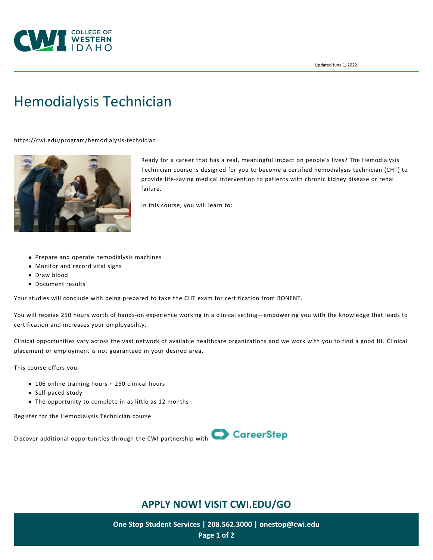

# [Hemodialysis Technician](https://cwi.edu/program/hemodialysis-technician)

<https://cwi.edu/program/hemodialysis-technician>



Ready for a career that has a real, meaningful impact on people's lives? The Hemodialysis Technician course is designed for you to become a certified hemodialysis technician (CHT) to provide life-saving medical intervention to patients with chronic kidney disease or renal failure.

In this course, you will learn to:

- Prepare and operate hemodialysis machines
- Monitor and record vital signs
- Draw blood
- Document results

Your studies will conclude with being prepared to take the CHT exam for certification from BONENT.

You will receive 250 hours worth of hands-on experience working in a clinical setting—empowering you with the knowledge that leads to certification and increases your employability.

Clinical opportunities vary across the vast network of available healthcare organizations and we work with you to find a good fit. Clinical placement or employment is not guaranteed in your desired area.

This course offers you:

- 106 online training hours + 250 clinical hours
- Self-paced study
- The opportunity to complete in as little as 12 months

[Register for the Hemodialysis Technician course](https://www.careerstep.com/certify/healthcare/dialysis-technician/)



# **APPLY NOW! VISIT [CWI.EDU/GO](http://cwi.edu/go)**

**One Stop Student Services | 208.562.3000 | [onestop@cwi.edu](mailto:onestop@cwi.edu) Page 1 of 2**